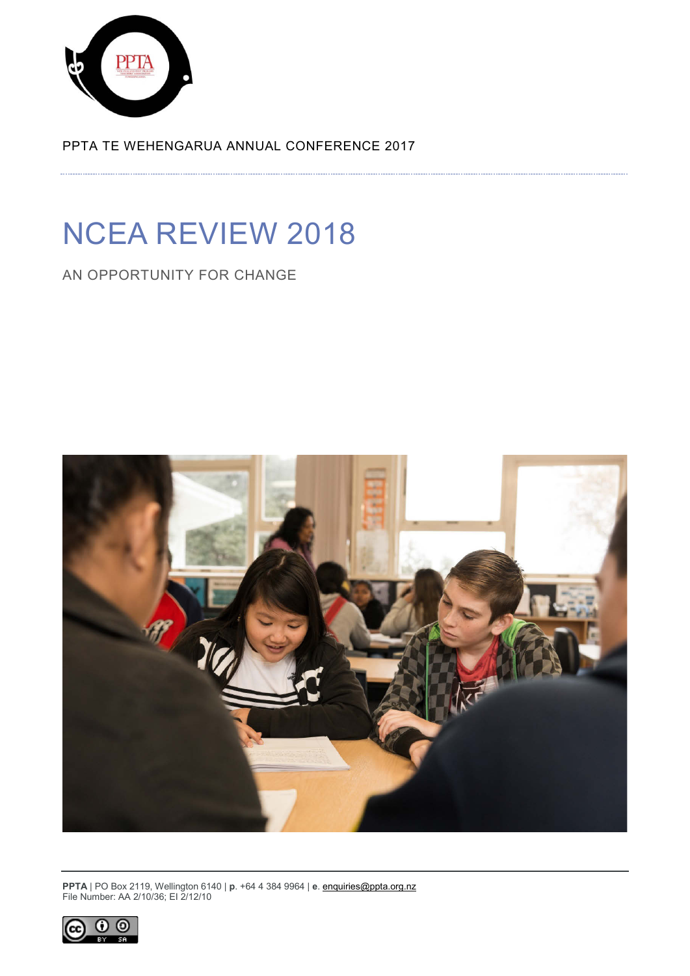

PPTA TE WEHENGARUA ANNUAL CONFERENCE 2017

# NCEA REVIEW 2018

AN OPPORTUNITY FOR CHANGE



**PPTA** | PO Box 2119, Wellington 6140 | **p**. +64 4 384 9964 | **e**[. enquiries@ppta.org.nz](mailto:enquiries@ppta.org.nz) File Number: AA 2/10/36; EI 2/12/10

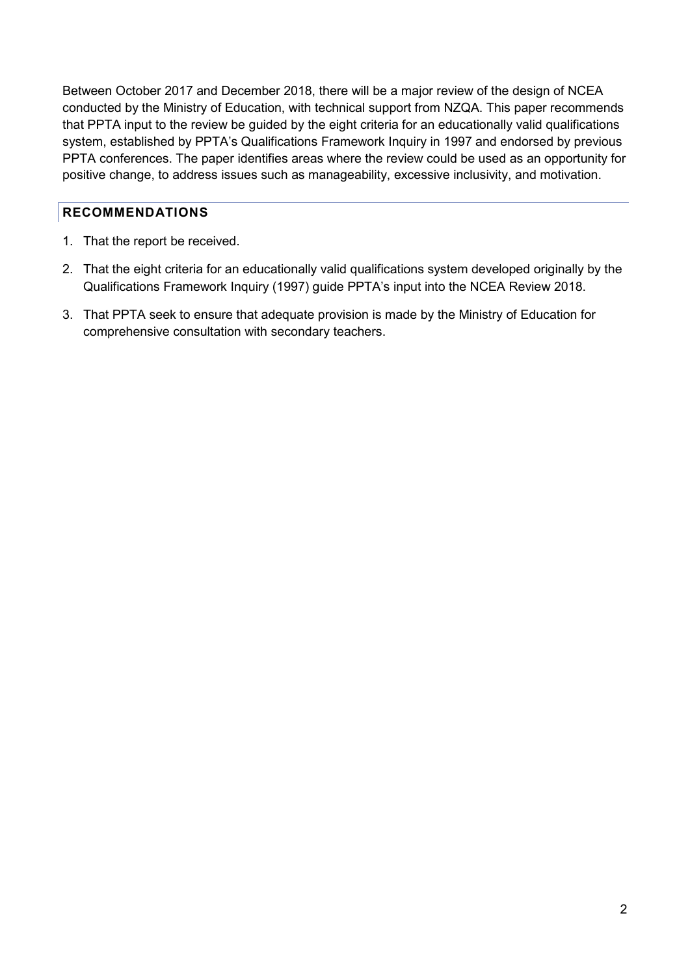Between October 2017 and December 2018, there will be a major review of the design of NCEA conducted by the Ministry of Education, with technical support from NZQA. This paper recommends that PPTA input to the review be guided by the eight criteria for an educationally valid qualifications system, established by PPTA's Qualifications Framework Inquiry in 1997 and endorsed by previous PPTA conferences. The paper identifies areas where the review could be used as an opportunity for positive change, to address issues such as manageability, excessive inclusivity, and motivation.

### <span id="page-1-0"></span>**RECOMMENDATIONS**

- 1. That the report be received.
- 2. That the eight criteria for an educationally valid qualifications system developed originally by the Qualifications Framework Inquiry (1997) guide PPTA's input into the NCEA Review 2018.
- 3. That PPTA seek to ensure that adequate provision is made by the Ministry of Education for comprehensive consultation with secondary teachers.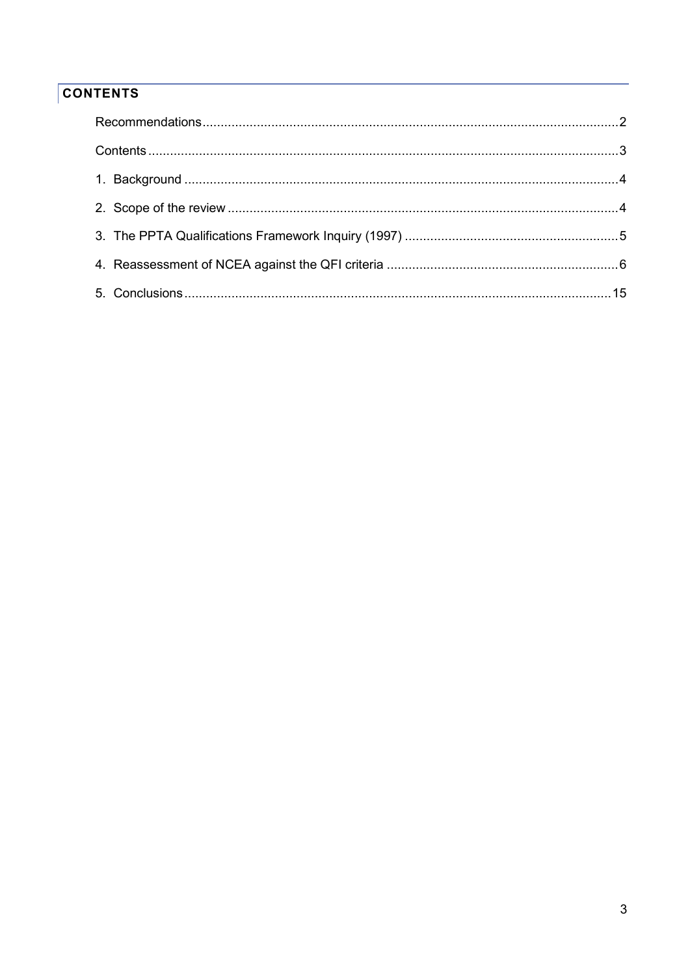## <span id="page-2-0"></span>**CONTENTS**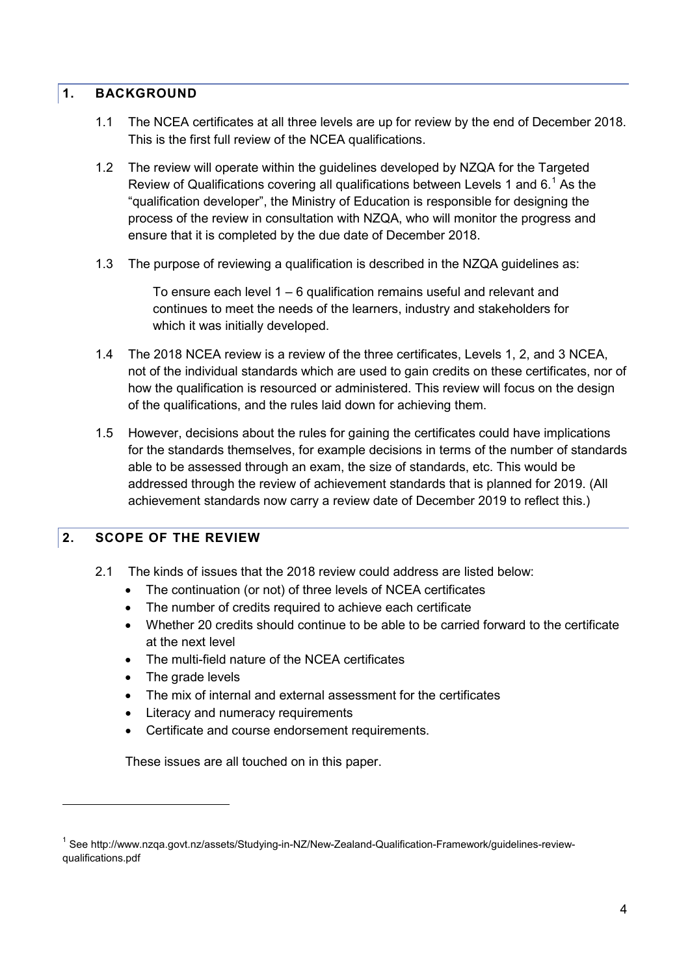#### <span id="page-3-0"></span>**1. BACKGROUND**

- 1.1 The NCEA certificates at all three levels are up for review by the end of December 2018. This is the first full review of the NCEA qualifications.
- 1.2 The review will operate within the guidelines developed by NZQA for the Targeted Review of Qualifications covering all qualifications between Levels [1](#page-3-2) and  $6<sup>1</sup>$  As the "qualification developer", the Ministry of Education is responsible for designing the process of the review in consultation with NZQA, who will monitor the progress and ensure that it is completed by the due date of December 2018.
- 1.3 The purpose of reviewing a qualification is described in the NZQA guidelines as:

To ensure each level 1 – 6 qualification remains useful and relevant and continues to meet the needs of the learners, industry and stakeholders for which it was initially developed.

- 1.4 The 2018 NCEA review is a review of the three certificates, Levels 1, 2, and 3 NCEA, not of the individual standards which are used to gain credits on these certificates, nor of how the qualification is resourced or administered. This review will focus on the design of the qualifications, and the rules laid down for achieving them.
- 1.5 However, decisions about the rules for gaining the certificates could have implications for the standards themselves, for example decisions in terms of the number of standards able to be assessed through an exam, the size of standards, etc. This would be addressed through the review of achievement standards that is planned for 2019. (All achievement standards now carry a review date of December 2019 to reflect this.)

## <span id="page-3-1"></span>**2. SCOPE OF THE REVIEW**

- 2.1 The kinds of issues that the 2018 review could address are listed below:
	- The continuation (or not) of three levels of NCEA certificates
	- The number of credits required to achieve each certificate
	- Whether 20 credits should continue to be able to be carried forward to the certificate at the next level
	- The multi-field nature of the NCEA certificates
	- The grade levels

-

- The mix of internal and external assessment for the certificates
- Literacy and numeracy requirements
- Certificate and course endorsement requirements.

These issues are all touched on in this paper.

<span id="page-3-2"></span><sup>1</sup> See [http://www.nzqa.govt.nz/assets/Studying-in-NZ/New-Zealand-Qualification-Framework/guidelines-review](http://www.nzqa.govt.nz/assets/Studying-in-NZ/New-Zealand-Qualification-Framework/guidelines-review-qualifications.pdf)[qualifications.pdf](http://www.nzqa.govt.nz/assets/Studying-in-NZ/New-Zealand-Qualification-Framework/guidelines-review-qualifications.pdf)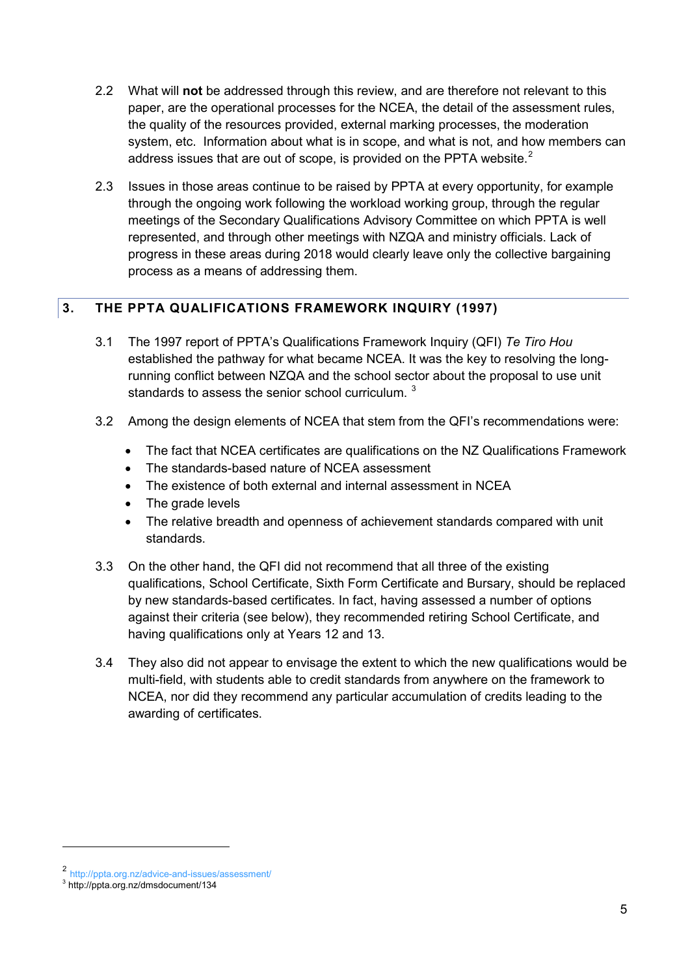- 2.2 What will **not** be addressed through this review, and are therefore not relevant to this paper, are the operational processes for the NCEA, the detail of the assessment rules, the quality of the resources provided, external marking processes, the moderation system, etc. Information about what is in scope, and what is not, and how members can address issues that are out of scope, is provided on the PPTA website. $<sup>2</sup>$  $<sup>2</sup>$  $<sup>2</sup>$ </sup>
- 2.3 Issues in those areas continue to be raised by PPTA at every opportunity, for example through the ongoing work following the workload working group, through the regular meetings of the Secondary Qualifications Advisory Committee on which PPTA is well represented, and through other meetings with NZQA and ministry officials. Lack of progress in these areas during 2018 would clearly leave only the collective bargaining process as a means of addressing them.

## <span id="page-4-0"></span>**3. THE PPTA QUALIFICATIONS FRAMEWORK INQUIRY (1997)**

- 3.1 The 1997 report of PPTA's Qualifications Framework Inquiry (QFI) *Te Tiro Hou* established the pathway for what became NCEA. It was the key to resolving the longrunning conflict between NZQA and the school sector about the proposal to use unit standards to assess the senior school curriculum.<sup>[3](#page-4-2)</sup>
- 3.2 Among the design elements of NCEA that stem from the QFI's recommendations were:
	- The fact that NCEA certificates are qualifications on the NZ Qualifications Framework
	- The standards-based nature of NCEA assessment
	- The existence of both external and internal assessment in NCEA
	- The grade levels
	- The relative breadth and openness of achievement standards compared with unit standards.
- 3.3 On the other hand, the QFI did not recommend that all three of the existing qualifications, School Certificate, Sixth Form Certificate and Bursary, should be replaced by new standards-based certificates. In fact, having assessed a number of options against their criteria (see below), they recommended retiring School Certificate, and having qualifications only at Years 12 and 13.
- 3.4 They also did not appear to envisage the extent to which the new qualifications would be multi-field, with students able to credit standards from anywhere on the framework to NCEA, nor did they recommend any particular accumulation of credits leading to the awarding of certificates.

<span id="page-4-1"></span><sup>2</sup> <http://ppta.org.nz/advice-and-issues/assessment/> <sup>3</sup> <http://ppta.org.nz/dmsdocument/134>

<span id="page-4-2"></span>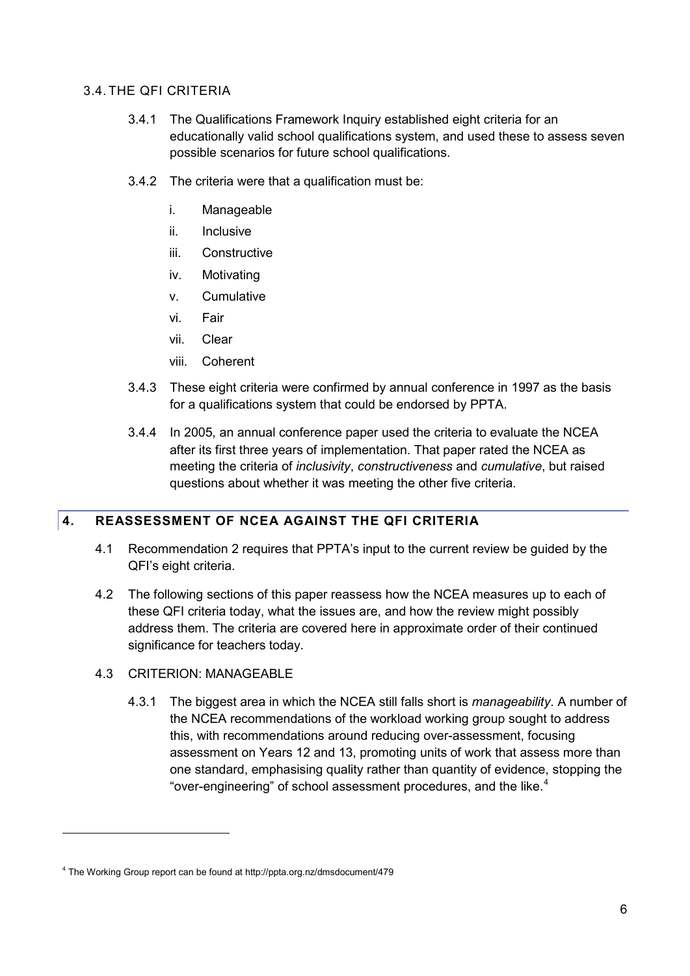#### 3.4. THE QFI CRITERIA

- 3.4.1 The Qualifications Framework Inquiry established eight criteria for an educationally valid school qualifications system, and used these to assess seven possible scenarios for future school qualifications.
- 3.4.2 The criteria were that a qualification must be:
	- i. Manageable
	- ii. Inclusive
	- iii. Constructive
	- iv. Motivating
	- v. Cumulative
	- vi. Fair
	- vii. Clear
	- viii. Coherent
- 3.4.3 These eight criteria were confirmed by annual conference in 1997 as the basis for a qualifications system that could be endorsed by PPTA.
- 3.4.4 In 2005, an annual conference paper used the criteria to evaluate the NCEA after its first three years of implementation. That paper rated the NCEA as meeting the criteria of *inclusivity*, *constructiveness* and *cumulative*, but raised questions about whether it was meeting the other five criteria.

## <span id="page-5-0"></span>**4. REASSESSMENT OF NCEA AGAINST THE QFI CRITERIA**

- 4.1 Recommendation 2 requires that PPTA's input to the current review be guided by the QFI's eight criteria.
- 4.2 The following sections of this paper reassess how the NCEA measures up to each of these QFI criteria today, what the issues are, and how the review might possibly address them. The criteria are covered here in approximate order of their continued significance for teachers today.
- 4.3 CRITERION: MANAGEABLE

-

4.3.1 The biggest area in which the NCEA still falls short is *manageability*. A number of the NCEA recommendations of the workload working group sought to address this, with recommendations around reducing over-assessment, focusing assessment on Years 12 and 13, promoting units of work that assess more than one standard, emphasising quality rather than quantity of evidence, stopping the "over-engineering" of school assessment procedures, and the like.<sup>[4](#page-5-1)</sup>

<span id="page-5-1"></span><sup>4</sup> The Working Group report can be found a[t http://ppta.org.nz/dmsdocument/479](http://ppta.org.nz/dmsdocument/479)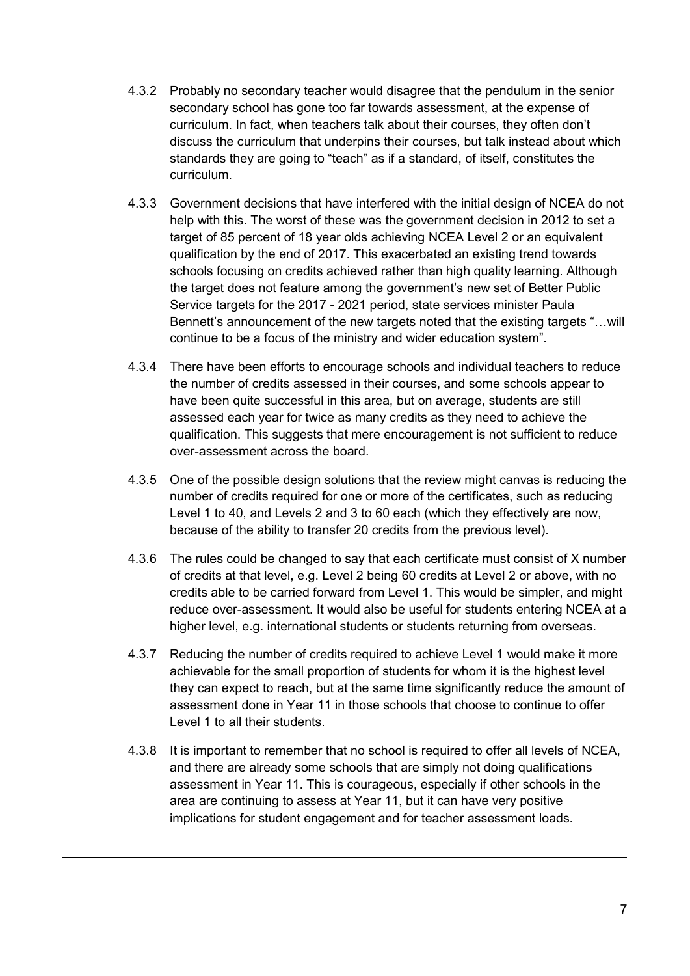- 4.3.2 Probably no secondary teacher would disagree that the pendulum in the senior secondary school has gone too far towards assessment, at the expense of curriculum. In fact, when teachers talk about their courses, they often don't discuss the curriculum that underpins their courses, but talk instead about which standards they are going to "teach" as if a standard, of itself, constitutes the curriculum.
- 4.3.3 Government decisions that have interfered with the initial design of NCEA do not help with this. The worst of these was the government decision in 2012 to set a target of 85 percent of 18 year olds achieving NCEA Level 2 or an equivalent qualification by the end of 2017. This exacerbated an existing trend towards schools focusing on credits achieved rather than high quality learning. Although the target does not feature among the government's new set of Better Public Service targets for the 2017 - 2021 period, state services minister Paula Bennett's announcement of the new targets noted that the existing targets "…will continue to be a focus of the ministry and wider education system".
- 4.3.4 There have been efforts to encourage schools and individual teachers to reduce the number of credits assessed in their courses, and some schools appear to have been quite successful in this area, but on average, students are still assessed each year for twice as many credits as they need to achieve the qualification. This suggests that mere encouragement is not sufficient to reduce over-assessment across the board.
- 4.3.5 One of the possible design solutions that the review might canvas is reducing the number of credits required for one or more of the certificates, such as reducing Level 1 to 40, and Levels 2 and 3 to 60 each (which they effectively are now, because of the ability to transfer 20 credits from the previous level).
- 4.3.6 The rules could be changed to say that each certificate must consist of X number of credits at that level, e.g. Level 2 being 60 credits at Level 2 or above, with no credits able to be carried forward from Level 1. This would be simpler, and might reduce over-assessment. It would also be useful for students entering NCEA at a higher level, e.g. international students or students returning from overseas.
- 4.3.7 Reducing the number of credits required to achieve Level 1 would make it more achievable for the small proportion of students for whom it is the highest level they can expect to reach, but at the same time significantly reduce the amount of assessment done in Year 11 in those schools that choose to continue to offer Level 1 to all their students.
- 4.3.8 It is important to remember that no school is required to offer all levels of NCEA, and there are already some schools that are simply not doing qualifications assessment in Year 11. This is courageous, especially if other schools in the area are continuing to assess at Year 11, but it can have very positive implications for student engagement and for teacher assessment loads.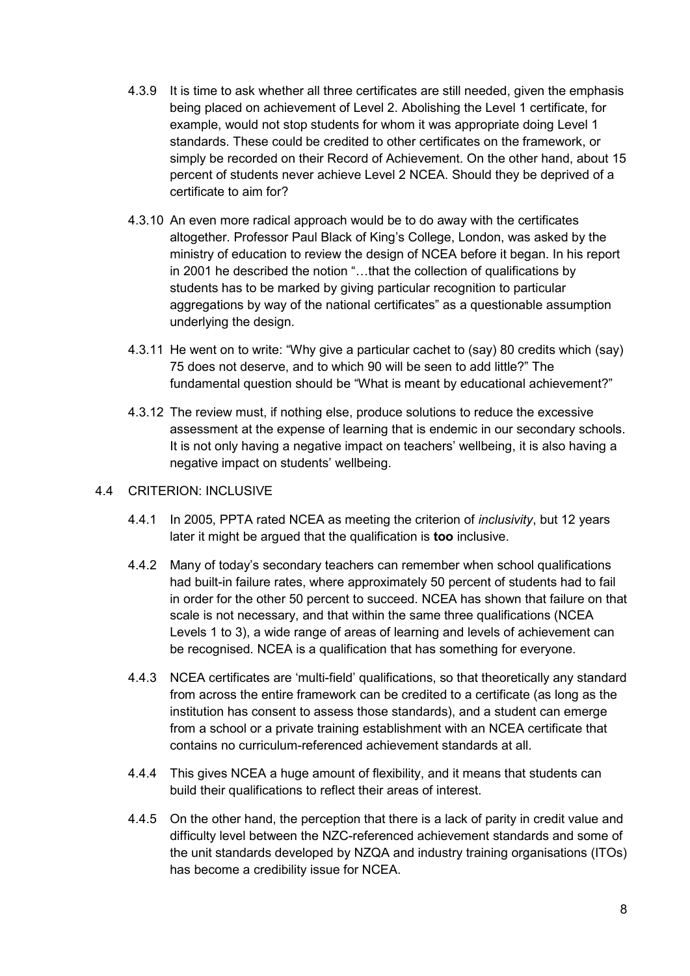- 4.3.9 It is time to ask whether all three certificates are still needed, given the emphasis being placed on achievement of Level 2. Abolishing the Level 1 certificate, for example, would not stop students for whom it was appropriate doing Level 1 standards. These could be credited to other certificates on the framework, or simply be recorded on their Record of Achievement. On the other hand, about 15 percent of students never achieve Level 2 NCEA. Should they be deprived of a certificate to aim for?
- 4.3.10 An even more radical approach would be to do away with the certificates altogether. Professor Paul Black of King's College, London, was asked by the ministry of education to review the design of NCEA before it began. In his report in 2001 he described the notion "…that the collection of qualifications by students has to be marked by giving particular recognition to particular aggregations by way of the national certificates" as a questionable assumption underlying the design.
- 4.3.11 He went on to write: "Why give a particular cachet to (say) 80 credits which (say) 75 does not deserve, and to which 90 will be seen to add little?" The fundamental question should be "What is meant by educational achievement?"
- 4.3.12 The review must, if nothing else, produce solutions to reduce the excessive assessment at the expense of learning that is endemic in our secondary schools. It is not only having a negative impact on teachers' wellbeing, it is also having a negative impact on students' wellbeing.

#### 4.4 CRITERION: INCLUSIVE

- 4.4.1 In 2005, PPTA rated NCEA as meeting the criterion of *inclusivity*, but 12 years later it might be argued that the qualification is **too** inclusive.
- 4.4.2 Many of today's secondary teachers can remember when school qualifications had built-in failure rates, where approximately 50 percent of students had to fail in order for the other 50 percent to succeed. NCEA has shown that failure on that scale is not necessary, and that within the same three qualifications (NCEA Levels 1 to 3), a wide range of areas of learning and levels of achievement can be recognised. NCEA is a qualification that has something for everyone.
- 4.4.3 NCEA certificates are 'multi-field' qualifications, so that theoretically any standard from across the entire framework can be credited to a certificate (as long as the institution has consent to assess those standards), and a student can emerge from a school or a private training establishment with an NCEA certificate that contains no curriculum-referenced achievement standards at all.
- 4.4.4 This gives NCEA a huge amount of flexibility, and it means that students can build their qualifications to reflect their areas of interest.
- 4.4.5 On the other hand, the perception that there is a lack of parity in credit value and difficulty level between the NZC-referenced achievement standards and some of the unit standards developed by NZQA and industry training organisations (ITOs) has become a credibility issue for NCEA.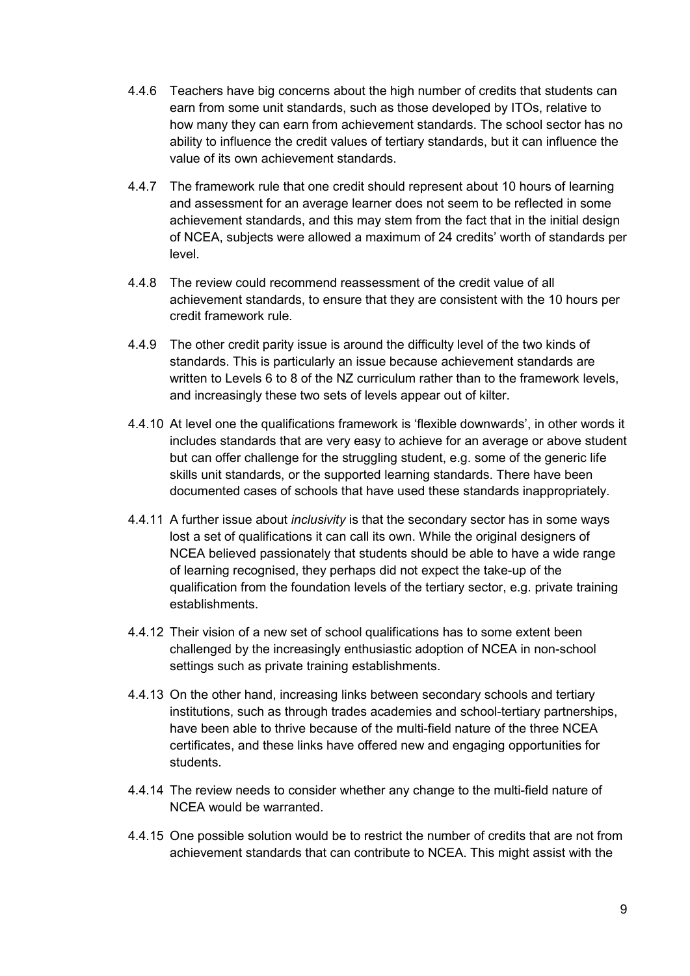- 4.4.6 Teachers have big concerns about the high number of credits that students can earn from some unit standards, such as those developed by ITOs, relative to how many they can earn from achievement standards. The school sector has no ability to influence the credit values of tertiary standards, but it can influence the value of its own achievement standards.
- 4.4.7 The framework rule that one credit should represent about 10 hours of learning and assessment for an average learner does not seem to be reflected in some achievement standards, and this may stem from the fact that in the initial design of NCEA, subjects were allowed a maximum of 24 credits' worth of standards per level.
- 4.4.8 The review could recommend reassessment of the credit value of all achievement standards, to ensure that they are consistent with the 10 hours per credit framework rule.
- 4.4.9 The other credit parity issue is around the difficulty level of the two kinds of standards. This is particularly an issue because achievement standards are written to Levels 6 to 8 of the NZ curriculum rather than to the framework levels, and increasingly these two sets of levels appear out of kilter.
- 4.4.10 At level one the qualifications framework is 'flexible downwards', in other words it includes standards that are very easy to achieve for an average or above student but can offer challenge for the struggling student, e.g. some of the generic life skills unit standards, or the supported learning standards. There have been documented cases of schools that have used these standards inappropriately.
- 4.4.11 A further issue about *inclusivity* is that the secondary sector has in some ways lost a set of qualifications it can call its own. While the original designers of NCEA believed passionately that students should be able to have a wide range of learning recognised, they perhaps did not expect the take-up of the qualification from the foundation levels of the tertiary sector, e.g. private training establishments.
- 4.4.12 Their vision of a new set of school qualifications has to some extent been challenged by the increasingly enthusiastic adoption of NCEA in non-school settings such as private training establishments.
- 4.4.13 On the other hand, increasing links between secondary schools and tertiary institutions, such as through trades academies and school-tertiary partnerships, have been able to thrive because of the multi-field nature of the three NCEA certificates, and these links have offered new and engaging opportunities for students.
- 4.4.14 The review needs to consider whether any change to the multi-field nature of NCEA would be warranted.
- 4.4.15 One possible solution would be to restrict the number of credits that are not from achievement standards that can contribute to NCEA. This might assist with the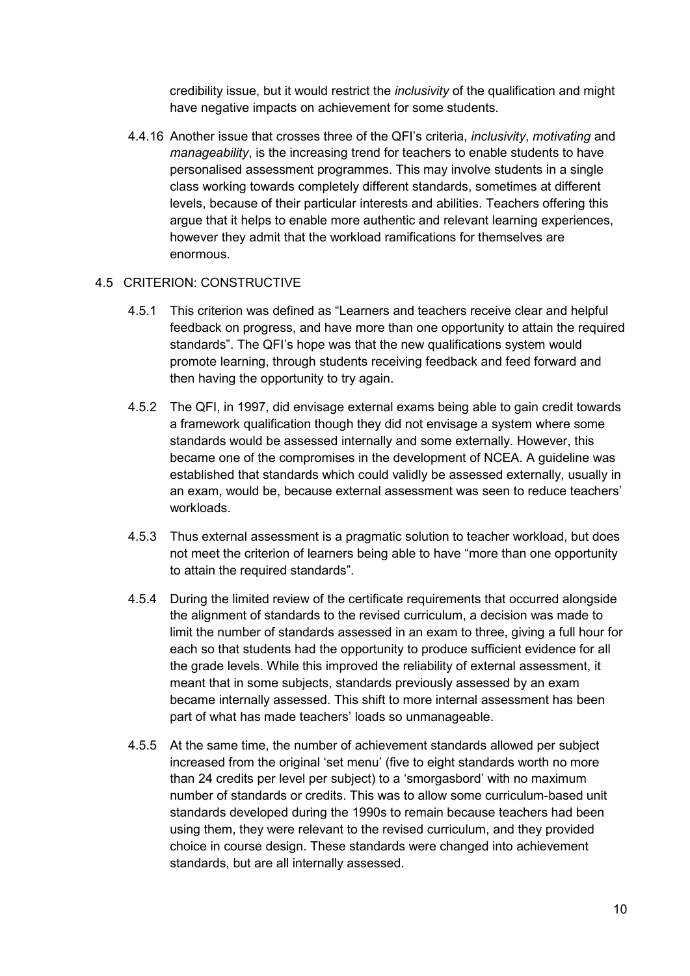credibility issue, but it would restrict the *inclusivity* of the qualification and might have negative impacts on achievement for some students.

4.4.16 Another issue that crosses three of the QFI's criteria, *inclusivity*, *motivating* and *manageability*, is the increasing trend for teachers to enable students to have personalised assessment programmes. This may involve students in a single class working towards completely different standards, sometimes at different levels, because of their particular interests and abilities. Teachers offering this argue that it helps to enable more authentic and relevant learning experiences, however they admit that the workload ramifications for themselves are enormous.

#### 4.5 CRITERION: CONSTRUCTIVE

- 4.5.1 This criterion was defined as "Learners and teachers receive clear and helpful feedback on progress, and have more than one opportunity to attain the required standards". The QFI's hope was that the new qualifications system would promote learning, through students receiving feedback and feed forward and then having the opportunity to try again.
- 4.5.2 The QFI, in 1997, did envisage external exams being able to gain credit towards a framework qualification though they did not envisage a system where some standards would be assessed internally and some externally. However, this became one of the compromises in the development of NCEA. A guideline was established that standards which could validly be assessed externally, usually in an exam, would be, because external assessment was seen to reduce teachers' workloads.
- 4.5.3 Thus external assessment is a pragmatic solution to teacher workload, but does not meet the criterion of learners being able to have "more than one opportunity to attain the required standards".
- 4.5.4 During the limited review of the certificate requirements that occurred alongside the alignment of standards to the revised curriculum, a decision was made to limit the number of standards assessed in an exam to three, giving a full hour for each so that students had the opportunity to produce sufficient evidence for all the grade levels. While this improved the reliability of external assessment, it meant that in some subjects, standards previously assessed by an exam became internally assessed. This shift to more internal assessment has been part of what has made teachers' loads so unmanageable.
- 4.5.5 At the same time, the number of achievement standards allowed per subject increased from the original 'set menu' (five to eight standards worth no more than 24 credits per level per subject) to a 'smorgasbord' with no maximum number of standards or credits. This was to allow some curriculum-based unit standards developed during the 1990s to remain because teachers had been using them, they were relevant to the revised curriculum, and they provided choice in course design. These standards were changed into achievement standards, but are all internally assessed.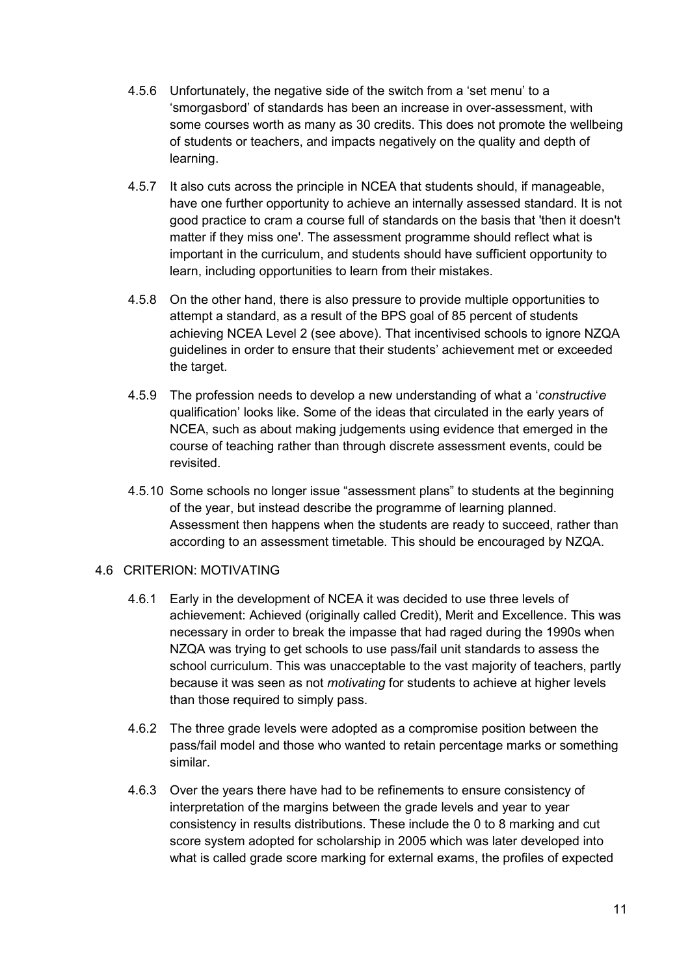- 4.5.6 Unfortunately, the negative side of the switch from a 'set menu' to a 'smorgasbord' of standards has been an increase in over-assessment, with some courses worth as many as 30 credits. This does not promote the wellbeing of students or teachers, and impacts negatively on the quality and depth of learning.
- 4.5.7 It also cuts across the principle in NCEA that students should, if manageable, have one further opportunity to achieve an internally assessed standard. It is not good practice to cram a course full of standards on the basis that 'then it doesn't matter if they miss one'. The assessment programme should reflect what is important in the curriculum, and students should have sufficient opportunity to learn, including opportunities to learn from their mistakes.
- 4.5.8 On the other hand, there is also pressure to provide multiple opportunities to attempt a standard, as a result of the BPS goal of 85 percent of students achieving NCEA Level 2 (see above). That incentivised schools to ignore NZQA guidelines in order to ensure that their students' achievement met or exceeded the target.
- 4.5.9 The profession needs to develop a new understanding of what a '*constructive* qualification' looks like. Some of the ideas that circulated in the early years of NCEA, such as about making judgements using evidence that emerged in the course of teaching rather than through discrete assessment events, could be revisited.
- 4.5.10 Some schools no longer issue "assessment plans" to students at the beginning of the year, but instead describe the programme of learning planned. Assessment then happens when the students are ready to succeed, rather than according to an assessment timetable. This should be encouraged by NZQA.

#### 4.6 CRITERION: MOTIVATING

- 4.6.1 Early in the development of NCEA it was decided to use three levels of achievement: Achieved (originally called Credit), Merit and Excellence. This was necessary in order to break the impasse that had raged during the 1990s when NZQA was trying to get schools to use pass/fail unit standards to assess the school curriculum. This was unacceptable to the vast majority of teachers, partly because it was seen as not *motivating* for students to achieve at higher levels than those required to simply pass.
- 4.6.2 The three grade levels were adopted as a compromise position between the pass/fail model and those who wanted to retain percentage marks or something similar.
- 4.6.3 Over the years there have had to be refinements to ensure consistency of interpretation of the margins between the grade levels and year to year consistency in results distributions. These include the 0 to 8 marking and cut score system adopted for scholarship in 2005 which was later developed into what is called grade score marking for external exams, the profiles of expected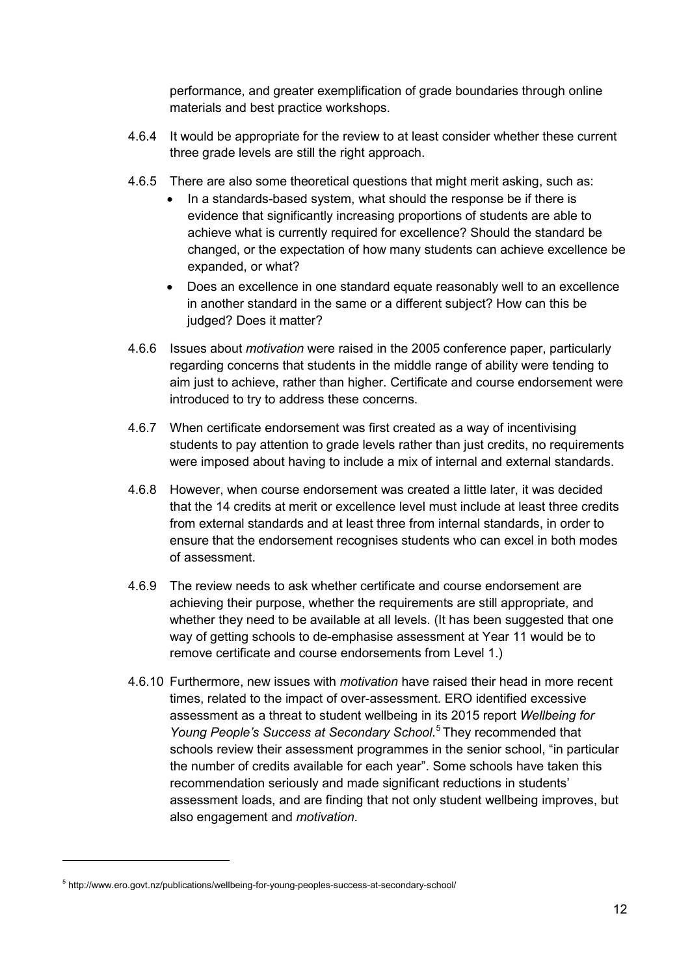performance, and greater exemplification of grade boundaries through online materials and best practice workshops.

- 4.6.4 It would be appropriate for the review to at least consider whether these current three grade levels are still the right approach.
- 4.6.5 There are also some theoretical questions that might merit asking, such as:
	- In a standards-based system, what should the response be if there is evidence that significantly increasing proportions of students are able to achieve what is currently required for excellence? Should the standard be changed, or the expectation of how many students can achieve excellence be expanded, or what?
	- Does an excellence in one standard equate reasonably well to an excellence in another standard in the same or a different subject? How can this be judged? Does it matter?
- 4.6.6 Issues about *motivation* were raised in the 2005 conference paper, particularly regarding concerns that students in the middle range of ability were tending to aim just to achieve, rather than higher. Certificate and course endorsement were introduced to try to address these concerns.
- 4.6.7 When certificate endorsement was first created as a way of incentivising students to pay attention to grade levels rather than just credits, no requirements were imposed about having to include a mix of internal and external standards.
- 4.6.8 However, when course endorsement was created a little later, it was decided that the 14 credits at merit or excellence level must include at least three credits from external standards and at least three from internal standards, in order to ensure that the endorsement recognises students who can excel in both modes of assessment.
- 4.6.9 The review needs to ask whether certificate and course endorsement are achieving their purpose, whether the requirements are still appropriate, and whether they need to be available at all levels. (It has been suggested that one way of getting schools to de-emphasise assessment at Year 11 would be to remove certificate and course endorsements from Level 1.)
- 4.6.10 Furthermore, new issues with *motivation* have raised their head in more recent times, related to the impact of over-assessment. ERO identified excessive assessment as a threat to student wellbeing in its 2015 report *Wellbeing for Young People's Success at Secondary School*. [5](#page-11-0) They recommended that schools review their assessment programmes in the senior school, "in particular the number of credits available for each year". Some schools have taken this recommendation seriously and made significant reductions in students' assessment loads, and are finding that not only student wellbeing improves, but also engagement and *motivation*.

<span id="page-11-0"></span><sup>5</sup> <http://www.ero.govt.nz/publications/wellbeing-for-young-peoples-success-at-secondary-school/>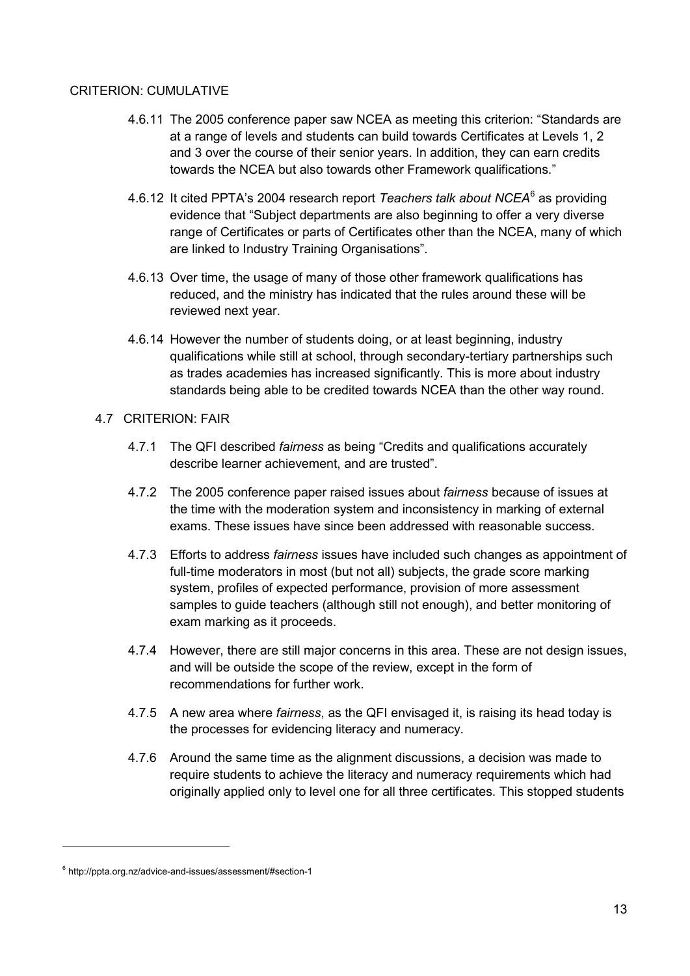#### CRITERION: CUMULATIVE

- 4.6.11 The 2005 conference paper saw NCEA as meeting this criterion: "Standards are at a range of levels and students can build towards Certificates at Levels 1, 2 and 3 over the course of their senior years. In addition, they can earn credits towards the NCEA but also towards other Framework qualifications."
- 4.6.12 It cited PPTA's 2004 research report *Teachers talk about NCEA*[6](#page-12-0) as providing evidence that "Subject departments are also beginning to offer a very diverse range of Certificates or parts of Certificates other than the NCEA, many of which are linked to Industry Training Organisations".
- 4.6.13 Over time, the usage of many of those other framework qualifications has reduced, and the ministry has indicated that the rules around these will be reviewed next year.
- 4.6.14 However the number of students doing, or at least beginning, industry qualifications while still at school, through secondary-tertiary partnerships such as trades academies has increased significantly. This is more about industry standards being able to be credited towards NCEA than the other way round.
- 4.7 CRITERION: FAIR
	- 4.7.1 The QFI described *fairness* as being "Credits and qualifications accurately describe learner achievement, and are trusted".
	- 4.7.2 The 2005 conference paper raised issues about *fairness* because of issues at the time with the moderation system and inconsistency in marking of external exams. These issues have since been addressed with reasonable success.
	- 4.7.3 Efforts to address *fairness* issues have included such changes as appointment of full-time moderators in most (but not all) subjects, the grade score marking system, profiles of expected performance, provision of more assessment samples to guide teachers (although still not enough), and better monitoring of exam marking as it proceeds.
	- 4.7.4 However, there are still major concerns in this area. These are not design issues, and will be outside the scope of the review, except in the form of recommendations for further work.
	- 4.7.5 A new area where *fairness*, as the QFI envisaged it, is raising its head today is the processes for evidencing literacy and numeracy.
	- 4.7.6 Around the same time as the alignment discussions, a decision was made to require students to achieve the literacy and numeracy requirements which had originally applied only to level one for all three certificates. This stopped students

<span id="page-12-0"></span><sup>6</sup> <http://ppta.org.nz/advice-and-issues/assessment/#section-1>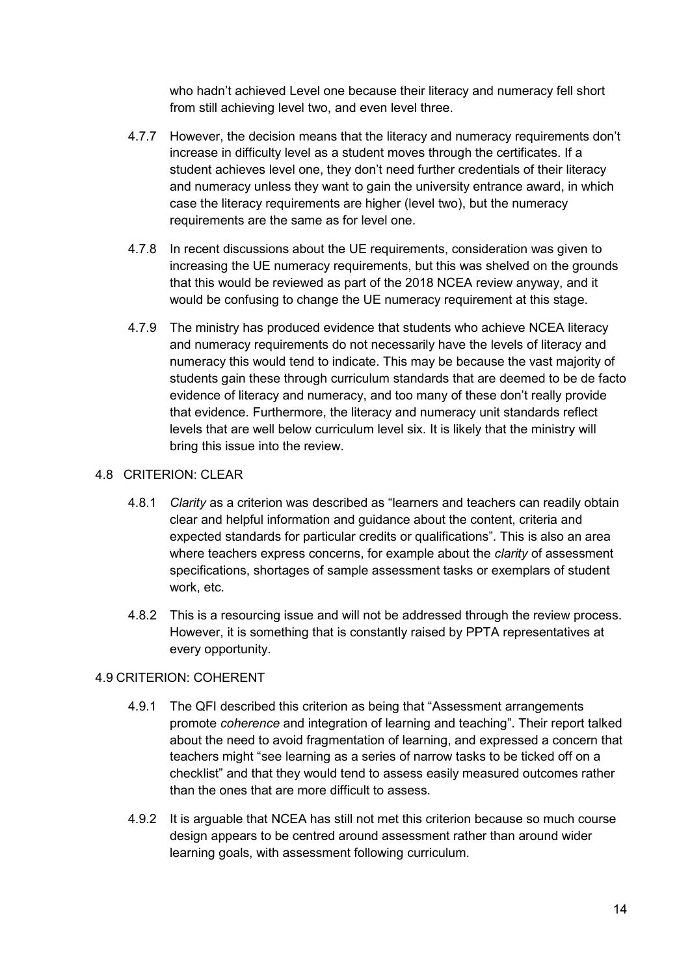who hadn't achieved Level one because their literacy and numeracy fell short from still achieving level two, and even level three.

- 4.7.7 However, the decision means that the literacy and numeracy requirements don't increase in difficulty level as a student moves through the certificates. If a student achieves level one, they don't need further credentials of their literacy and numeracy unless they want to gain the university entrance award, in which case the literacy requirements are higher (level two), but the numeracy requirements are the same as for level one.
- 4.7.8 In recent discussions about the UE requirements, consideration was given to increasing the UE numeracy requirements, but this was shelved on the grounds that this would be reviewed as part of the 2018 NCEA review anyway, and it would be confusing to change the UE numeracy requirement at this stage.
- 4.7.9 The ministry has produced evidence that students who achieve NCEA literacy and numeracy requirements do not necessarily have the levels of literacy and numeracy this would tend to indicate. This may be because the vast majority of students gain these through curriculum standards that are deemed to be de facto evidence of literacy and numeracy, and too many of these don't really provide that evidence. Furthermore, the literacy and numeracy unit standards reflect levels that are well below curriculum level six. It is likely that the ministry will bring this issue into the review.

#### 4.8 CRITERION: CLEAR

- 4.8.1 *Clarity* as a criterion was described as "learners and teachers can readily obtain clear and helpful information and guidance about the content, criteria and expected standards for particular credits or qualifications". This is also an area where teachers express concerns, for example about the *clarity* of assessment specifications, shortages of sample assessment tasks or exemplars of student work, etc.
- 4.8.2 This is a resourcing issue and will not be addressed through the review process. However, it is something that is constantly raised by PPTA representatives at every opportunity.

#### 4.9 CRITERION: COHERENT

- 4.9.1 The QFI described this criterion as being that "Assessment arrangements promote *coherence* and integration of learning and teaching". Their report talked about the need to avoid fragmentation of learning, and expressed a concern that teachers might "see learning as a series of narrow tasks to be ticked off on a checklist" and that they would tend to assess easily measured outcomes rather than the ones that are more difficult to assess.
- 4.9.2 It is arguable that NCEA has still not met this criterion because so much course design appears to be centred around assessment rather than around wider learning goals, with assessment following curriculum.